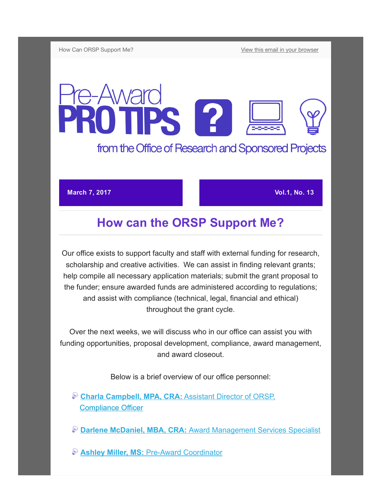How Can ORSP Support Me? The Canadian vour browser view this email in your browser

## e-Award **TEAWEIGHTS** from the Office of Research and Sponsored Projects

## **March 7, 2017 Vol.1, No. 13**

## How can the ORSP Support Me?

Our office exists to support faculty and staff with external funding for research, scholarship and creative activities. We can assist in finding relevant grants; help compile all necessary application materials; submit the grant proposal to the funder; ensure awarded funds are administered according to regulations; and assist with compliance (technical, legal, financial and ethical) throughout the grant cycle.

Over the next weeks, we will discuss who in our office can assist you with funding opportunities, proposal development, compliance, award management, and award closeout.

Below is a brief overview of our office personnel:

[Charla Campbell, MPA, CRA: Assistant Director of ORSP,](https://www.westga.edu/academics/research/orsp/profile.php?emp_id=564) Compliance Officer

[Darlene McDaniel, MBA, CRA: Award Management Services Specialist](https://www.westga.edu/academics/research/orsp/profile.php?emp_id=14483)

**& Ashley Miller, MS: Pre-Award Coordinator**